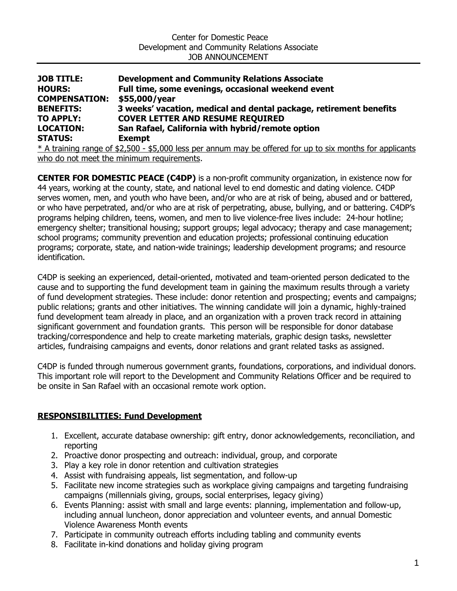| <b>JOB TITLE:</b>                                                                                         | <b>Development and Community Relations Associate</b>               |
|-----------------------------------------------------------------------------------------------------------|--------------------------------------------------------------------|
| <b>HOURS:</b>                                                                                             | Full time, some evenings, occasional weekend event                 |
| <b>COMPENSATION:</b>                                                                                      | \$55,000/year                                                      |
| <b>BENEFITS:</b>                                                                                          | 3 weeks' vacation, medical and dental package, retirement benefits |
| <b>TO APPLY:</b>                                                                                          | <b>COVER LETTER AND RESUME REQUIRED</b>                            |
| <b>LOCATION:</b>                                                                                          | San Rafael, California with hybrid/remote option                   |
| <b>STATUS:</b>                                                                                            | <b>Exempt</b>                                                      |
| * A training range of \$2,500 - \$5,000 less per annum may be offered for up to six months for applicants |                                                                    |
|                                                                                                           |                                                                    |

who do not meet the minimum requirements.

**CENTER FOR DOMESTIC PEACE (C4DP)** is a non-profit community organization, in existence now for 44 years, working at the county, state, and national level to end domestic and dating violence. C4DP serves women, men, and youth who have been, and/or who are at risk of being, abused and or battered, or who have perpetrated, and/or who are at risk of perpetrating, abuse, bullying, and or battering. C4DP's programs helping children, teens, women, and men to live violence-free lives include: 24-hour hotline; emergency shelter; transitional housing; support groups; legal advocacy; therapy and case management; school programs; community prevention and education projects; professional continuing education programs; corporate, state, and nation-wide trainings; leadership development programs; and resource identification.

C4DP is seeking an experienced, detail-oriented, motivated and team-oriented person dedicated to the cause and to supporting the fund development team in gaining the maximum results through a variety of fund development strategies. These include: donor retention and prospecting; events and campaigns; public relations; grants and other initiatives. The winning candidate will join a dynamic, highly-trained fund development team already in place, and an organization with a proven track record in attaining significant government and foundation grants. This person will be responsible for donor database tracking/correspondence and help to create marketing materials, graphic design tasks, newsletter articles, fundraising campaigns and events, donor relations and grant related tasks as assigned.

C4DP is funded through numerous government grants, foundations, corporations, and individual donors. This important role will report to the Development and Community Relations Officer and be required to be onsite in San Rafael with an occasional remote work option.

# **RESPONSIBILITIES: Fund Development**

- 1. Excellent, accurate database ownership: gift entry, donor acknowledgements, reconciliation, and reporting
- 2. Proactive donor prospecting and outreach: individual, group, and corporate
- 3. Play a key role in donor retention and cultivation strategies
- 4. Assist with fundraising appeals, list segmentation, and follow-up
- 5. Facilitate new income strategies such as workplace giving campaigns and targeting fundraising campaigns (millennials giving, groups, social enterprises, legacy giving)
- 6. Events Planning: assist with small and large events: planning, implementation and follow-up, including annual luncheon, donor appreciation and volunteer events, and annual Domestic Violence Awareness Month events
- 7. Participate in community outreach efforts including tabling and community events
- 8. Facilitate in-kind donations and holiday giving program